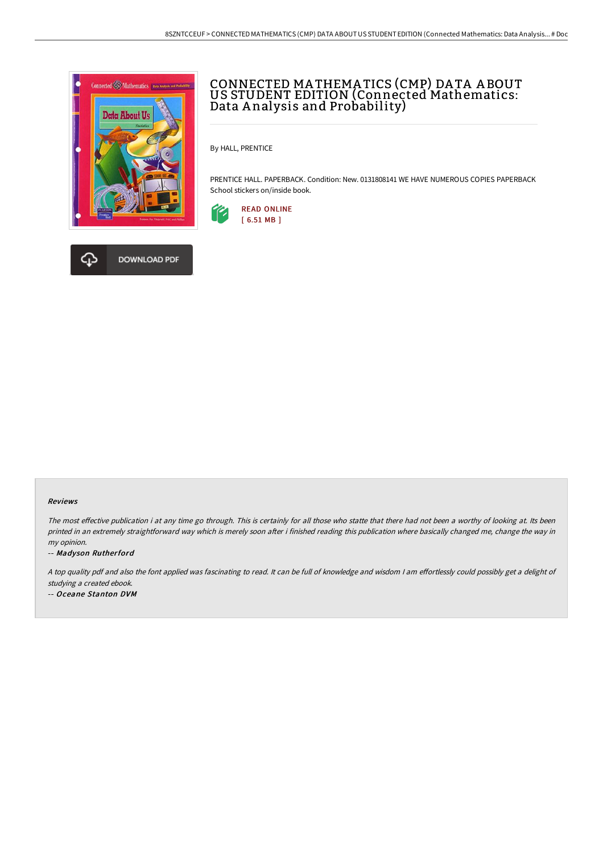



# CONNECTED MA THEMA TICS (CMP) DA TA A BOUT US STUDENT EDITION (Connected Mathematics: Data A nalysis and Probability)

By HALL, PRENTICE

PRENTICE HALL. PAPERBACK. Condition: New. 0131808141 WE HAVE NUMEROUS COPIES PAPERBACK School stickers on/inside book.



#### Reviews

The most effective publication i at any time go through. This is certainly for all those who statte that there had not been a worthy of looking at. Its been printed in an extremely straightforward way which is merely soon after i finished reading this publication where basically changed me, change the way in my opinion.

-- Madyson Rutherford

A top quality pdf and also the font applied was fascinating to read. It can be full of knowledge and wisdom I am effortlessly could possibly get a delight of studying <sup>a</sup> created ebook.

-- Oceane Stanton DVM